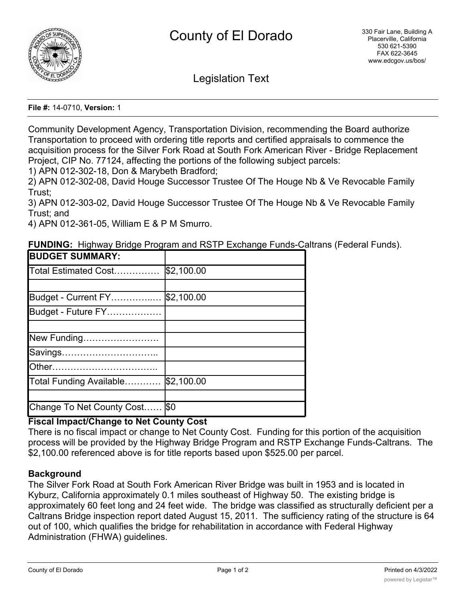

Legislation Text

**File #:** 14-0710, **Version:** 1

Community Development Agency, Transportation Division, recommending the Board authorize Transportation to proceed with ordering title reports and certified appraisals to commence the acquisition process for the Silver Fork Road at South Fork American River - Bridge Replacement Project, CIP No. 77124, affecting the portions of the following subject parcels:

1) APN 012-302-18, Don & Marybeth Bradford;

2) APN 012-302-08, David Houge Successor Trustee Of The Houge Nb & Ve Revocable Family Trust;

3) APN 012-303-02, David Houge Successor Trustee Of The Houge Nb & Ve Revocable Family Trust; and

4) APN 012-361-05, William E & P M Smurro.

**FUNDING:** Highway Bridge Program and RSTP Exchange Funds-Caltrans (Federal Funds).

| <b>BUDGET SUMMARY:</b>    |            |
|---------------------------|------------|
| Total Estimated Cost      | \$2,100.00 |
|                           |            |
| Budget - Current FY       | \$2,100.00 |
| Budget - Future FY        |            |
|                           |            |
| New Funding               |            |
| Savings                   |            |
| <b>Other</b>              |            |
| Total Funding Available   | \$2,100.00 |
|                           |            |
| Change To Net County Cost | <b>\$0</b> |

## **Fiscal Impact/Change to Net County Cost**

There is no fiscal impact or change to Net County Cost. Funding for this portion of the acquisition process will be provided by the Highway Bridge Program and RSTP Exchange Funds-Caltrans. The \$2,100.00 referenced above is for title reports based upon \$525.00 per parcel.

## **Background**

The Silver Fork Road at South Fork American River Bridge was built in 1953 and is located in Kyburz, California approximately 0.1 miles southeast of Highway 50. The existing bridge is approximately 60 feet long and 24 feet wide. The bridge was classified as structurally deficient per a Caltrans Bridge inspection report dated August 15, 2011. The sufficiency rating of the structure is 64 out of 100, which qualifies the bridge for rehabilitation in accordance with Federal Highway Administration (FHWA) guidelines.